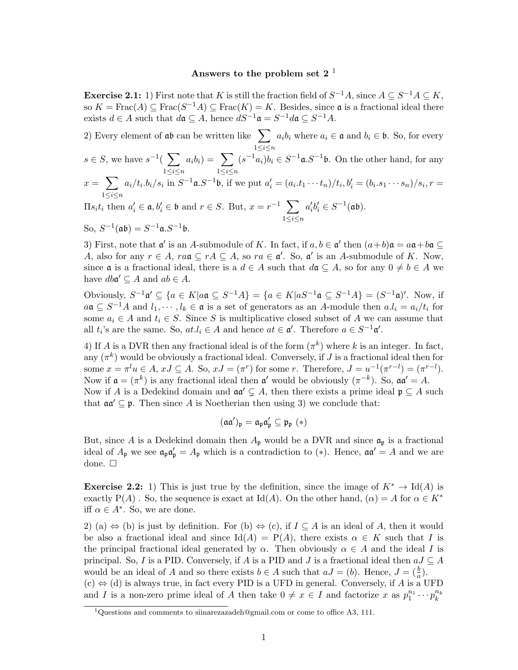## Answers to the problem set  $2<sup>1</sup>$

**Exercise 2.1:** 1) First note that K is still the fraction field of  $S^{-1}A$ , since  $A \subseteq S^{-1}A \subseteq K$ , so  $K = \text{Frac}(A) \subseteq \text{Frac}(S^{-1}A) \subseteq \text{Frac}(K) = K$ . Besides, since **a** is a fractional ideal there exists  $d \in A$  such that  $d\mathfrak{a} \subseteq A$ , hence  $dS^{-1}\mathfrak{a} = S^{-1}d\mathfrak{a} \subseteq S^{-1}A$ .

2) Every element of  $\mathfrak{a}\mathfrak{b}$  can be written like  $\sum$  $1\leq i\leq n$  $a_i b_i$  where  $a_i \in \mathfrak{a}$  and  $b_i \in \mathfrak{b}$ . So, for every  $s \in S$ , we have  $s^{-1}(\sum$  $1\leq i\leq n$  $a_i b_i$ ) =  $\sum$  $1\leq i\leq n$  $(s^{-1}a_i)b_i \in S^{-1}$ **a**. $S^{-1}$ **b**. On the other hand, for any  $x = \sum$  $1\leq i\leq n$  $a_i/t_i.b_i/s_i$  in  $S^{-1}\mathfrak{a}.S^{-1}\mathfrak{b}$ , if we put  $a'_i = (a_i.t_1 \cdots t_n)/t_i, b'_i = (b_i.s_1 \cdots s_n)/s_i, r =$  $\Pi s_i t_i$  then  $a'_i \in \mathfrak{a}, b'_i \in \mathfrak{b}$  and  $r \in S$ . But,  $x = r^{-1}$   $\sum$  $1\leq i\leq n$  $a'_i b'_i \in S^{-1}(\mathfrak{a}\mathfrak{b}).$ So,  $S^{-1}$ (ab) =  $S^{-1}$ a. $S^{-1}$ b.

3) First, note that  $\mathfrak{a}'$  is an A-submodule of K. In fact, if  $a, b \in \mathfrak{a}'$  then  $(a+b)\mathfrak{a} = a\mathfrak{a} + b\mathfrak{a} \subseteq$ A, also for any  $r \in A$ ,  $ra\mathfrak{a} \subseteq rA \subseteq A$ , so  $ra \in \mathfrak{a}'$ . So,  $\mathfrak{a}'$  is an A-submodule of K. Now, since  $\mathfrak a$  is a fractional ideal, there is a  $d \in A$  such that  $d\mathfrak a \subseteq A$ , so for any  $0 \neq b \in A$  we have  $dba' \subseteq A$  and  $ab \in A$ .

Obviously,  $S^{-1} \mathfrak{a}' \subseteq \{a \in K | a \mathfrak{a} \subseteq S^{-1}A\} = \{a \in K | aS^{-1} \mathfrak{a} \subseteq S^{-1}A\} = (S^{-1} \mathfrak{a})'.$  Now, if  $a\mathfrak{a} \subseteq S^{-1}A$  and  $l_1, \cdots, l_k \in \mathfrak{a}$  is a set of generators as an A-module then  $a.l_i = a_i/t_i$  for some  $a_i \in A$  and  $t_i \in S$ . Since S is multiplicative closed subset of A we can assume that all  $t_i$ 's are the same. So,  $at.l_i \in A$  and hence  $at \in \mathfrak{a}'$ . Therefore  $a \in S^{-1}\mathfrak{a}'$ .

4) If A is a DVR then any fractional ideal is of the form  $(\pi^k)$  where k is an integer. In fact, any  $(\pi^k)$  would be obviously a fractional ideal. Conversely, if J is a fractional ideal then for some  $x = \pi^l u \in A$ ,  $xJ \subseteq A$ . So,  $xJ = (\pi^r)$  for some r. Therefore,  $J = u^{-1}(\pi^{r-l}) = (\pi^{r-l})$ . Now if  $\mathfrak{a} = (\pi^k)$  is any fractional ideal then  $\mathfrak{a}'$  would be obviously  $(\pi^{-k})$ . So,  $\mathfrak{a} \mathfrak{a}' = A$ . Now if A is a Dedekind domain and  $\mathfrak{aa}' \subsetneq A$ , then there exists a prime ideal  $\mathfrak{p} \subsetneq A$  such

that  $\mathfrak{a} \mathfrak{a}' \subseteq \mathfrak{p}$ . Then since A is Noetherian then using 3) we conclude that:

$$
(\mathfrak{a}\mathfrak{a}')_{\mathfrak{p}}=\mathfrak{a}_{\mathfrak{p}}\mathfrak{a}'_{\mathfrak{p}}\subseteq \mathfrak{p}_{\mathfrak{p}}\ (*)
$$

But, since A is a Dedekind domain then  $A_p$  would be a DVR and since  $\mathfrak{a}_p$  is a fractional ideal of  $A_{\mathfrak{p}}$  we see  $\mathfrak{a}_{\mathfrak{p}}\mathfrak{a}'_p = A_{\mathfrak{p}}$  which is a contradiction to (\*). Hence,  $\mathfrak{a}\mathfrak{a}' = A$  and we are done.  $\square$ 

**Exercise 2.2:** 1) This is just true by the definition, since the image of  $K^* \to \text{Id}(A)$  is exactly P(A). So, the sequence is exact at Id(A). On the other hand,  $(\alpha) = A$  for  $\alpha \in K^*$ iff  $\alpha \in A^*$ . So, we are done.

2) (a)  $\Leftrightarrow$  (b) is just by definition. For (b)  $\Leftrightarrow$  (c), if  $I \subseteq A$  is an ideal of A, then it would be also a fractional ideal and since  $\text{Id}(A) = \text{P}(A)$ , there exists  $\alpha \in K$  such that I is the principal fractional ideal generated by  $\alpha$ . Then obviously  $\alpha \in A$  and the ideal I is principal. So, I is a PID. Conversely, if A is a PID and J is a fractional ideal then  $aJ \subseteq A$ would be an ideal of A and so there exists  $b \in A$  such that  $aJ = (b)$ . Hence,  $J = (\frac{b}{a})$ .  $(c) \Leftrightarrow (d)$  is always true, in fact every PID is a UFD in general. Conversely, if A is a UFD and I is a non-zero prime ideal of A then take  $0 \neq x \in I$  and factorize x as  $p_1^{n_1} \cdots p_k^{n_k}$ 

<sup>&</sup>lt;sup>1</sup>Questions and comments to siinarezazadeh@gmail.com or come to office A3, 111.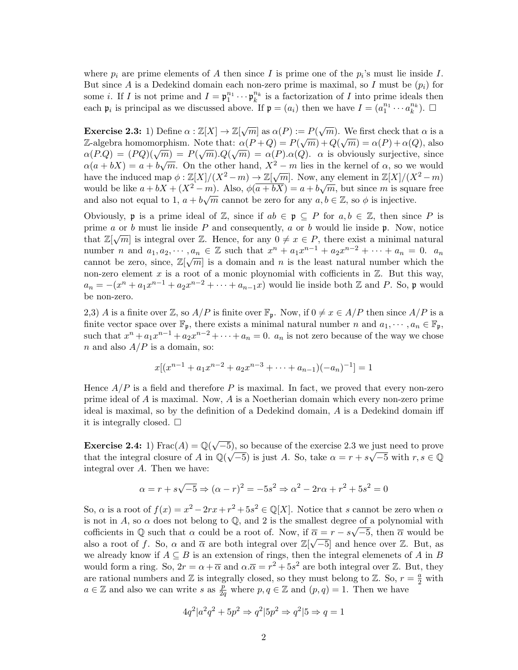where  $p_i$  are prime elements of A then since I is prime one of the  $p_i$ 's must lie inside I. But since A is a Dedekind domain each non-zero prime is maximal, so I must be  $(p_i)$  for some *i*. If *I* is not prime and  $I = \mathfrak{p}_1^{n_1} \cdots \mathfrak{p}_k^{n_k}$  is a factorization of *I* into prime ideals then each  $\mathfrak{p}_i$  is principal as we discussed above. If  $\mathfrak{p} = (a_i)$  then we have  $I = (a_1^{n_1} \cdots a_k^{n_k})$ .  $\Box$ 

Exercise 2.3: 1) Define  $\alpha : \mathbb{Z}[X] \to \mathbb{Z}[\sqrt{m}]$  as  $\alpha(P) := P(\sqrt{m})$ . We first check that  $\alpha$  is a Z-algebra homomorphism. Note that:  $\alpha(P+Q) = P(\sqrt{m}) + Q(\sqrt{m}) = \alpha(P) + \alpha(Q)$ , also  $\alpha(P,Q) = (PQ)(\sqrt{m}) = P(\sqrt{m}).Q(\sqrt{m}) = \alpha(P).\alpha(Q)$ .  $\alpha$  is obviously surjective, since  $\alpha(a + bX) = a + b\sqrt{m}$ . On the other hand,  $X^2 - m$  lies in the kernel of  $\alpha$ , so we would  $\alpha(a + bX) = a + b\sqrt{m}$ . On the other hand,  $X = m$  hes in the kerner of  $\alpha$ , so we would<br>have the induced map  $\phi : \mathbb{Z}[X]/(X^2 - m) \to \mathbb{Z}[\sqrt{m}]$ . Now, any element in  $\mathbb{Z}[X]/(X^2 - m)$ would be like  $a + bX + (X^2 - m)$ . Also,  $\phi(\overline{a+bX}) = a + b\sqrt{m}$ , but since m is square free and also not equal to 1,  $a + b\sqrt{m}$  cannot be zero for any  $a, b \in \mathbb{Z}$ , so  $\phi$  is injective.

Obviously, **p** is a prime ideal of  $\mathbb{Z}$ , since if  $ab \in \mathfrak{p} \subseteq P$  for  $a, b \in \mathbb{Z}$ , then since P is prime a or b must lie inside P and consequently, a or b would lie inside p. Now, notice that  $\mathbb{Z}[\sqrt{m}]$  is integral over  $\mathbb{Z}$ . Hence, for any  $0 \neq x \in P$ , there exist a minimal natural number *n* and  $a_1, a_2, \dots, a_n \in \mathbb{Z}$  such that  $x^n + a_1 x^{n-1} + a_2 x^{n-2} + \dots + a_n = 0$ .  $a_n$ cannot be zero, since,  $\mathbb{Z}[\sqrt{m}]$  is a domain and n is the least natural number which the non-zero element x is a root of a monic ploynomial with cofficients in  $\mathbb{Z}$ . But this way,  $a_n = -(x^n + a_1x^{n-1} + a_2x^{n-2} + \cdots + a_{n-1}x)$  would lie inside both Z and P. So, p would be non-zero.

2,3) A is a finite over Z, so  $A/P$  is finite over  $\mathbb{F}_p$ . Now, if  $0 \neq x \in A/P$  then since  $A/P$  is a finite vector space over  $\mathbb{F}_p$ , there exists a minimal natural number n and  $a_1, \dots, a_n \in \mathbb{F}_p$ , such that  $x^n + a_1x^{n-1} + a_2x^{n-2} + \cdots + a_n = 0$ .  $a_n$  is not zero because of the way we chose n and also  $A/P$  is a domain, so:

$$
x[(x^{n-1} + a_1x^{n-2} + a_2x^{n-3} + \cdots + a_{n-1})(-a_n)^{-1}] = 1
$$

Hence  $A/P$  is a field and therefore P is maximal. In fact, we proved that every non-zero prime ideal of A is maximal. Now, A is a Noetherian domain which every non-zero prime ideal is maximal, so by the definition of a Dedekind domain, A is a Dedekind domain iff it is integrally closed.  $\square$ 

Exercise 2.4: 1)  $\text{Frac}(A) = \mathbb{Q}(\sqrt{A})$  $\overline{-5}$ , so because of the exercise 2.3 we just need to prove that the integral closure of A in  $\mathbb{Q}(\sqrt{-5})$  is just A. So, take  $\alpha = r + s\sqrt{-5}$  with  $r, s \in \mathbb{Q}$ integral over A. Then we have:

$$
\alpha = r + s\sqrt{-5} \Rightarrow (\alpha - r)^2 = -5s^2 \Rightarrow \alpha^2 - 2r\alpha + r^2 + 5s^2 = 0
$$

So,  $\alpha$  is a root of  $f(x) = x^2 - 2rx + r^2 + 5s^2 \in \mathbb{Q}[X]$ . Notice that s cannot be zero when  $\alpha$ is not in A, so  $\alpha$  does not belong to  $\mathbb{Q}$ , and 2 is the smallest degree of a polynomial with cofficients in  $\mathbb Q$  such that  $\alpha$  could be a root of. Now, if  $\overline{\alpha} = r - s\sqrt{-5}$ , then  $\overline{\alpha}$  would be also a root of f. So,  $\alpha$  and  $\overline{\alpha}$  are both integral over  $\mathbb{Z}[\sqrt{-5}]$  and hence over  $\mathbb{Z}$ . But, as we already know if  $A \subseteq B$  is an extension of rings, then the integral elemenets of A in B would form a ring. So,  $2r = \alpha + \overline{\alpha}$  and  $\alpha \cdot \overline{\alpha} = r^2 + 5s^2$  are both integral over Z. But, they are rational numbers and  $\mathbb Z$  is integrally closed, so they must belong to  $\mathbb Z$ . So,  $r = \frac{a}{2}$  with  $a \in \mathbb{Z}$  and also we can write s as  $\frac{p}{2}$  $\frac{p}{2q}$  where  $p, q \in \mathbb{Z}$  and  $(p, q) = 1$ . Then we have

$$
4q^2|a^2q^2 + 5p^2 \Rightarrow q^2|5p^2 \Rightarrow q^2|5 \Rightarrow q = 1
$$